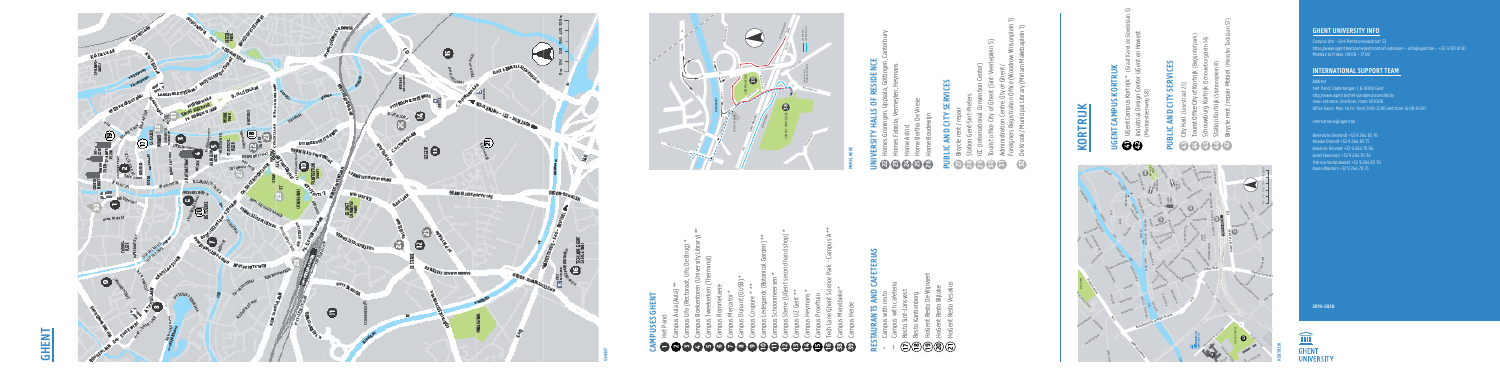# **GHENT UNIVERSITY INFO**

Campus Ufo – Sint-Pietersnieuwstraat 33 https://www.ugent.be/nl/univgent/contact-adressen – info@ugent.be – +32 9 331 01 01 Monday to Friday: 09:00 – 17:00

# **INTERNATIONAL SUPPORT TEAM**

# international@ugent.be

**Address** 'Het Pand', Onderbergen 1, B-9000 Gent http://www.ugent.be/het-pand/en/accessibility main entrance, 2nd floor, room 120.008 Office hours: Mon. to Fri. from 9:00-12:00 and from 14:00-16:00 **PUBLICE**<br> **PUBLICE**<br>
PUBLICE<br>
PUBLICE<br>
PUBLICE<br>
PUBLIC<br>
PUBLICE<br>
PUBLIC<br>
PUBLIC<br>
PUBLIC<br>
PUBLIC<br>
PUBLIC<br>
PUBLIC Add<br>'He<br>htt<br>Off<br>int ww<br>entr<br>hou<br>atio<br>icte r 1,<br>t-p<br>pr, r<br>i. fr<br>e State<br>Station Gent<br>Station Gent<br>Station Gent ont<br>**IRT**<br>Ger<br>-12:<br>6 -ad<br>T**E/**<br>bilit<br>and sen<br><mark>1</mark><br>om de Krook (Miriam Makebap)<br>De Krook (Miriam Makebap)<br>De Krook (Miriam Makebap)

Patricia Vanbrabandt +32 9 264 83 70 Karen Wouters +32 9 264 70 25

# **2019–2020**



- Campus with resto City Hall (Leiestraat 21) Tity Hall Nejectraat
- **17 18 19** \* \*\* **43 44 45 46 47 27 28 29 30 31** ing with unit of setting the care of the care of the category in the case of the case of the case of the control of the control of the control of the control of the control of the control of the control of the control of t Tourist Office City of Kortrijk (Begijnhofpark) Touriet Office City of Kortri
	- Resto Sint-Jansvest Schouwburg Kortrijk (Schouwburgplein 14) Schouwhurg Kortrijk (Schouwhurgalain)
- Station Kortrijk (Stationsplein 8) Station Kortriik (Stationsplein 8)
- Resto Kantienberg Hogen Resto De Wijnaert Verwysels<br>De Wijnaert Verwysels Bicycle rent / repair Mobiel (Minister Tacklaan 57) Ricycle rent / renair Mohiel (Minister)

# Campus Boekentoren (University Library) \*\* **PUBLIC AND CITY SERVICES** Resto Sint-Jansvest ں

 $C_{\rm max}$  Ufor (Rectoration )  $\sim$ 

soudewijn

# Benedicte Desmedt +32 9 264 83 76 Maaike Dhondt +32 9 264 83 75 Annelies Holvoet +32 9 264 70 06 **25 26 27 28 29 47 46** Bich Minister Tacklaan 57<br>Bich Minister Tacklaan 57<br>Bi Station Kortrijk (Stationsplein 8)

K / Municipal Library (Miriam Makebapien I.) Foreigners Registration Office (Woodrow Wilsonplein 1)  $\Xi$   $\Xi$ De Krook / Municipal Library (Miriam Makebaplein 1) ers Registration Office (Woodrow Wilsong **UNIVERSITY Registration Office (Woodrow Wilso Iministration Centre City of Ghent /** Administration Centre City of Ghent / k / Municipal Library (Miri k / Municipal Library l cry kegistianini v **11 12 4 5 6 7 8 9 10 17 18 19 20 21 22** \*\* \* \*\* **41 42 27 28 29 30 31 32**

# **MERELBEKE UGENT CAMPUS KORTRIJK**

- Jacques 1991<br>Jacques 58 **15** Campus Processing Processing Homes Groningen, Uppsala, Göttingen, Canterbury
- **CAMPUSES GHENT 16** Tech Lane Ghent Science Park - Campus A for Science Park - Campus A for Science Park - Campus A for Homes Fabiola, Vermeylen, Heymans
- **1**Het Pand **38** Campus Merelbeke \* Home Astrid
- Campus Aula (Aula) \*\* **RESERVIESE 39 2121212** Home Bertha De Vriese

DIICEC GHENT Campus Aula (Aula) \*\* Campus Rommelaere Campus Aula (Aula) **CAMPUSES GHENT GHENT**  $\sim$ Het Pand **521 6 7**

# **RESTAURANTS AND CAFETERIAS UGENT CAMPUS KORTRIJK**  $\sim$

Het Pand

# **RESTAURANTS AND CAFETERIAS PUBLIC AND CITY SERVICES**



\*

Campus Aula (Aula) \*\*



**41 42 29 30 31 23242526** UGent Campus Kortrijk \* (Graaf Karel de Goedelaan 5) Industrial Design Center UGent en Howest (Marksesteenweg 58) Tourist California (Sian Karel de Goege<br>Justin 1 Administration Centre Centre City of Ghent Planet II Foreigners Registration Office (Woodrow Wilsonplein 1) UDE III LaIII Home Bertha De Vriese Home Boudewijn

# UGent Campus Kortrijk \* (Graaf Karel de Goedelaan 5) Industrial Design Center UGent en Howest **UNIVERSITY HALLS OF RESIDENCE**  $\overline{S}$  $\overline{1}$ The Campus Heyman  $\bar{\bullet}$  $\Delta$ ⊐ **14 42**

| Campus Ufo (Rectoraat, Ufo, De Brug) *<br><b>Callinhand Chairman</b><br>J<br>$\mathsf{M}$ | Campus Boekentoren (University Library) **<br>× | Campus Tweekerken (Therminal)<br>Ø | Campus Rommelaere<br>$\overline{6}$ | Campus Mercator *<br>$\blacksquare$ | Campus Dunant (GUSB) *<br>$\infty$ | Campus Coupure * **<br>$\sigma$ | Campus Ledeganck (Botanical Garden) **<br>$\boldsymbol{\Theta}$ | Campus Schoonmeersen *<br>θ | Campus Sterre (UGent second hand shop) *<br>$\bigoplus$ | Campus UZ Gent **<br>$\boldsymbol{\Theta}$ | Campus Heymans *<br>$\mathbf G$ | Campus Proeftuin<br>$\mathbf{\Theta}$ | Tech Lane Ghent Science Park - Campus A **<br>$\mathbf \Theta$ | Campus Merelbeke *<br>53 | Campus Heide<br>8 |
|-------------------------------------------------------------------------------------------|-------------------------------------------------|------------------------------------|-------------------------------------|-------------------------------------|------------------------------------|---------------------------------|-----------------------------------------------------------------|-----------------------------|---------------------------------------------------------|--------------------------------------------|---------------------------------|---------------------------------------|----------------------------------------------------------------|--------------------------|-------------------|
|-------------------------------------------------------------------------------------------|-------------------------------------------------|------------------------------------|-------------------------------------|-------------------------------------|------------------------------------|---------------------------------|-----------------------------------------------------------------|-----------------------------|---------------------------------------------------------|--------------------------------------------|---------------------------------|---------------------------------------|----------------------------------------------------------------|--------------------------|-------------------|

- Campus Tweekerken (Therminal) rent / repair  $\sum_{i=1}^{n} \sum_{j=1}^{n}$ Bicycle rent / repair
- Campus Rommelaere de Hogen Rester (Marksenschilden) Station Gent-Sint-Pieters
- Campus Mercator \* City of Champ (Gust) \* Ellianonal Conventuo ICC (International Convention Center)
- Campus Coupure City and Hogen Restort Restort Restort Tourist office City of Ghent (Sint-Veerleplein 5)

 $\sqrt{2}$ 

- **42** UGent Campus Kortrijk \* (Graaf Karel de Goedelaan 5) Campus with cafeterial Campus with resto \*
- $\begin{bmatrix} 1 \\ 2 \\ 3 \\ 4 \end{bmatrix}$ Campus with cafeteria Resto Sint-Jansvest \*\*
	- Resto Kantienberg
- **RESTAURANTS AND CELL 12)(2)(2)(2)** HoGent Resto De Wijnaert
	- Campus with resto HoGent Resto Bijloke
	- Houent Kesto vesatius HoGent Resto Vesalius

# **16 38 21** Tech Lane Ghent Science Park - Campus A \*\* Campus Merelbeke \* **PUBLIC AND CITY** HoGent Resto Vesalius **KORTRIJK** Bicycle rent / repair Mobiel (Minister Tacklaan 57) Station Kortrijk (Stationsplein 8)

# ICC (International Convention Center) Homes Fabiola, Vermeylen, Heymans **UGENT CAMPUS KORTRIJK**  $\bullet$ 目



GE

Campus Proeftuing Processes

# **GHENT**

Home Boudewijn